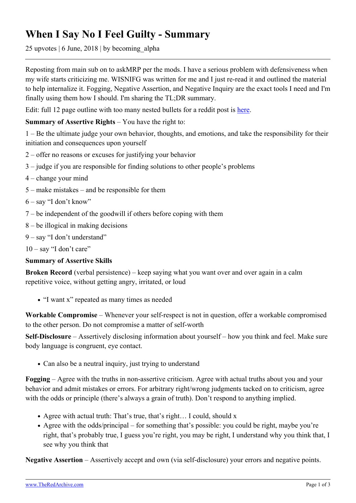## **When I Say No I Feel Guilty - Summary**

25 upvotes | 6 June, 2018 | by becoming\_alpha

Reposting from main sub on to askMRP per the mods. I have a serious problem with defensiveness when my wife starts criticizing me. WISNIFG was written for me and I just re-read it and outlined the material to help internalize it. Fogging, Negative Assertion, and Negative Inquiry are the exact tools I need and I'm finally using them how I should. I'm sharing the TL;DR summary.

Edit: full 12 page outline with too many nested bullets for a reddit post is [here](http://docdro.id/Y8BDq27).

## **Summary of Assertive Rights** – You have the right to:

1 – Be the ultimate judge your own behavior, thoughts, and emotions, and take the responsibility for their initiation and consequences upon yourself

- 2 offer no reasons or excuses for justifying your behavior
- 3 judge if you are responsible for finding solutions to other people's problems
- 4 change your mind
- 5 make mistakes and be responsible for them
- 6 say "I don't know"
- 7 be independent of the goodwill if others before coping with them
- 8 be illogical in making decisions
- 9 say "I don't understand"
- $10 -$ say "I don't care"

## **Summary of Assertive Skills**

**Broken Record** (verbal persistence) – keep saying what you want over and over again in a calm repetitive voice, without getting angry, irritated, or loud

"I want x" repeated as many times as needed

**Workable Compromise** – Whenever your self-respect is not in question, offer a workable compromised to the other person. Do not compromise a matter of self-worth

**Self-Disclosure** – Assertively disclosing information about yourself – how you think and feel. Make sure body language is congruent, eye contact.

• Can also be a neutral inquiry, just trying to understand

**Fogging** – Agree with the truths in non-assertive criticism. Agree with actual truths about you and your behavior and admit mistakes or errors. For arbitrary right/wrong judgments tacked on to criticism, agree with the odds or principle (there's always a grain of truth). Don't respond to anything implied.

- Agree with actual truth: That's true, that's right… I could, should x
- Agree with the odds/principal for something that's possible: you could be right, maybe you're right, that's probably true, I guess you're right, you may be right, I understand why you think that, I see why you think that

**Negative Assertion** – Assertively accept and own (via self-disclosure) your errors and negative points.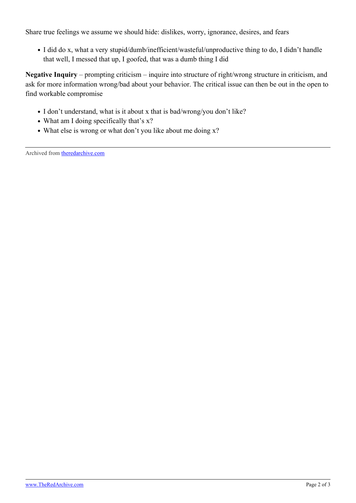Share true feelings we assume we should hide: dislikes, worry, ignorance, desires, and fears

I did do x, what a very stupid/dumb/inefficient/wasteful/unproductive thing to do, I didn't handle that well, I messed that up, I goofed, that was a dumb thing I did

**Negative Inquiry** – prompting criticism – inquire into structure of right/wrong structure in criticism, and ask for more information wrong/bad about your behavior. The critical issue can then be out in the open to find workable compromise

- I don't understand, what is it about x that is bad/wrong/you don't like?
- What am I doing specifically that's x?
- What else is wrong or what don't you like about me doing x?

Archived from [theredarchive.com](https://theredarchive.com/r/askMRP/when-i-say-no-i-feel-guilty-summary.204395)